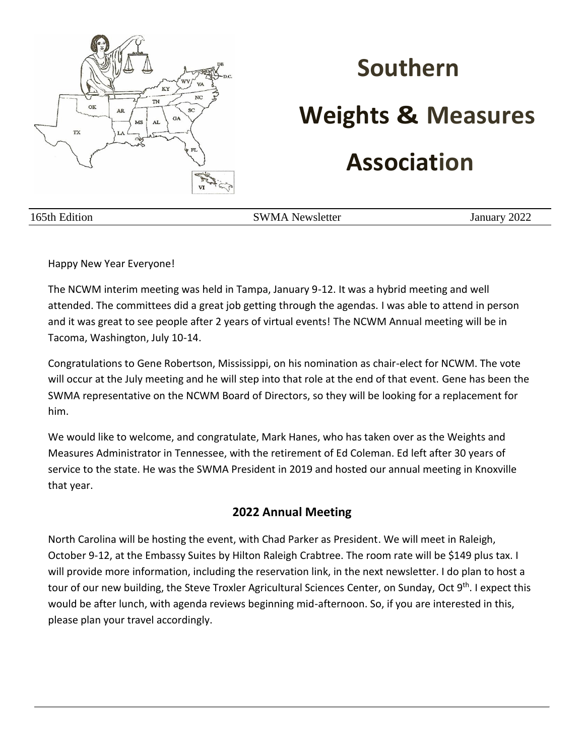

# **Southern Weights & Measures**

# **Association**

165th Edition SWMA Newsletter January 2022

Happy New Year Everyone!

The NCWM interim meeting was held in Tampa, January 9-12. It was a hybrid meeting and well attended. The committees did a great job getting through the agendas. I was able to attend in person and it was great to see people after 2 years of virtual events! The NCWM Annual meeting will be in Tacoma, Washington, July 10-14.

Congratulations to Gene Robertson, Mississippi, on his nomination as chair-elect for NCWM. The vote will occur at the July meeting and he will step into that role at the end of that event. Gene has been the SWMA representative on the NCWM Board of Directors, so they will be looking for a replacement for him.

We would like to welcome, and congratulate, Mark Hanes, who has taken over as the Weights and Measures Administrator in Tennessee, with the retirement of Ed Coleman. Ed left after 30 years of service to the state. He was the SWMA President in 2019 and hosted our annual meeting in Knoxville that year.

#### **2022 Annual Meeting**

North Carolina will be hosting the event, with Chad Parker as President. We will meet in Raleigh, October 9-12, at the Embassy Suites by Hilton Raleigh Crabtree. The room rate will be \$149 plus tax. I will provide more information, including the reservation link, in the next newsletter. I do plan to host a tour of our new building, the Steve Troxler Agricultural Sciences Center, on Sunday, Oct 9<sup>th</sup>. I expect this would be after lunch, with agenda reviews beginning mid-afternoon. So, if you are interested in this, please plan your travel accordingly.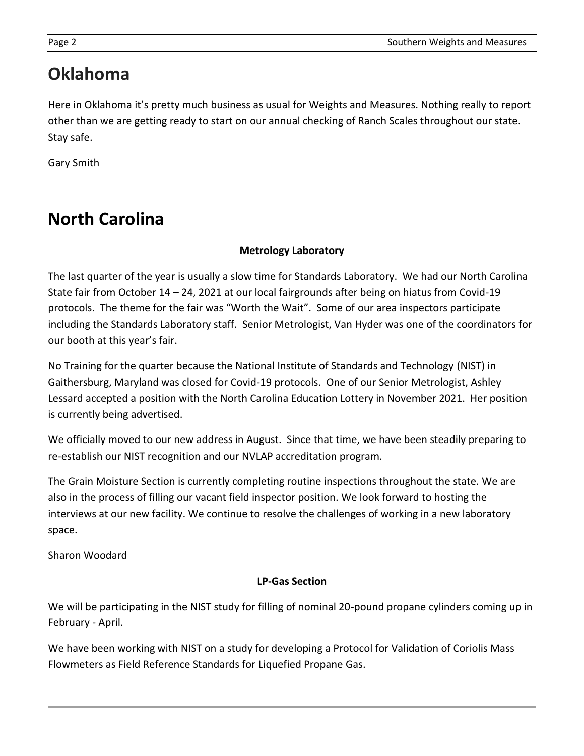## **Oklahoma**

Here in Oklahoma it's pretty much business as usual for Weights and Measures. Nothing really to report other than we are getting ready to start on our annual checking of Ranch Scales throughout our state. Stay safe.

Gary Smith

# **North Carolina**

#### **Metrology Laboratory**

The last quarter of the year is usually a slow time for Standards Laboratory. We had our North Carolina State fair from October 14 – 24, 2021 at our local fairgrounds after being on hiatus from Covid-19 protocols. The theme for the fair was "Worth the Wait". Some of our area inspectors participate including the Standards Laboratory staff. Senior Metrologist, Van Hyder was one of the coordinators for our booth at this year's fair.

No Training for the quarter because the National Institute of Standards and Technology (NIST) in Gaithersburg, Maryland was closed for Covid-19 protocols. One of our Senior Metrologist, Ashley Lessard accepted a position with the North Carolina Education Lottery in November 2021. Her position is currently being advertised.

We officially moved to our new address in August. Since that time, we have been steadily preparing to re-establish our NIST recognition and our NVLAP accreditation program.

The Grain Moisture Section is currently completing routine inspections throughout the state. We are also in the process of filling our vacant field inspector position. We look forward to hosting the interviews at our new facility. We continue to resolve the challenges of working in a new laboratory space.

Sharon Woodard

#### **LP-Gas Section**

We will be participating in the NIST study for filling of nominal 20-pound propane cylinders coming up in February - April.

We have been working with NIST on a study for developing a Protocol for Validation of Coriolis Mass Flowmeters as Field Reference Standards for Liquefied Propane Gas.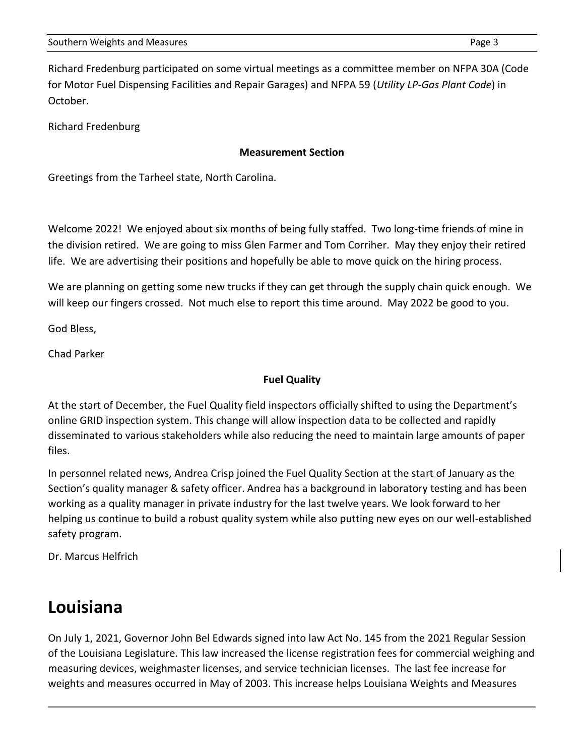Richard Fredenburg participated on some virtual meetings as a committee member on NFPA 30A (Code for Motor Fuel Dispensing Facilities and Repair Garages) and NFPA 59 (*Utility LP-Gas Plant Code*) in October.

Richard Fredenburg

#### **Measurement Section**

Greetings from the Tarheel state, North Carolina.

Welcome 2022! We enjoyed about six months of being fully staffed. Two long-time friends of mine in the division retired. We are going to miss Glen Farmer and Tom Corriher. May they enjoy their retired life. We are advertising their positions and hopefully be able to move quick on the hiring process.

We are planning on getting some new trucks if they can get through the supply chain quick enough. We will keep our fingers crossed. Not much else to report this time around. May 2022 be good to you.

God Bless,

Chad Parker

#### **Fuel Quality**

At the start of December, the Fuel Quality field inspectors officially shifted to using the Department's online GRID inspection system. This change will allow inspection data to be collected and rapidly disseminated to various stakeholders while also reducing the need to maintain large amounts of paper files.

In personnel related news, Andrea Crisp joined the Fuel Quality Section at the start of January as the Section's quality manager & safety officer. Andrea has a background in laboratory testing and has been working as a quality manager in private industry for the last twelve years. We look forward to her helping us continue to build a robust quality system while also putting new eyes on our well-established safety program.

Dr. Marcus Helfrich

### **Louisiana**

On July 1, 2021, Governor John Bel Edwards signed into law Act No. 145 from the 2021 Regular Session of the Louisiana Legislature. This law increased the license registration fees for commercial weighing and measuring devices, weighmaster licenses, and service technician licenses. The last fee increase for weights and measures occurred in May of 2003. This increase helps Louisiana Weights and Measures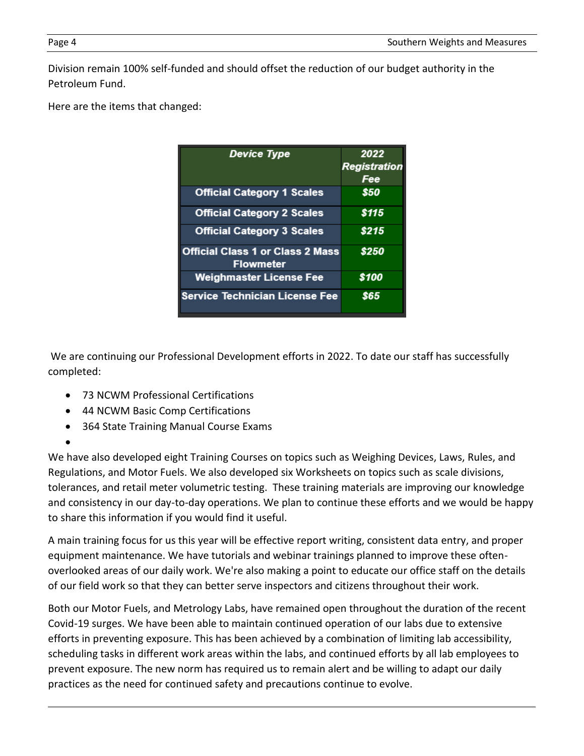Division remain 100% self-funded and should offset the reduction of our budget authority in the Petroleum Fund.

Here are the items that changed:

| <b>Device Type</b>                                          | 2022                |
|-------------------------------------------------------------|---------------------|
|                                                             | <b>Registration</b> |
|                                                             | Fee                 |
| <b>Official Category 1 Scales</b>                           | \$50                |
| <b>Official Category 2 Scales</b>                           | \$115               |
| <b>Official Category 3 Scales</b>                           | \$215               |
| <b>Official Class 1 or Class 2 Mass</b><br><b>Flowmeter</b> | \$250               |
| <b>Weighmaster License Fee</b>                              | \$100               |
| <b>Service Technician License Fee</b>                       | \$65                |

We are continuing our Professional Development efforts in 2022. To date our staff has successfully completed:

- 73 NCWM Professional Certifications
- 44 NCWM Basic Comp Certifications
- 364 State Training Manual Course Exams

•

We have also developed eight Training Courses on topics such as Weighing Devices, Laws, Rules, and Regulations, and Motor Fuels. We also developed six Worksheets on topics such as scale divisions, tolerances, and retail meter volumetric testing. These training materials are improving our knowledge and consistency in our day-to-day operations. We plan to continue these efforts and we would be happy to share this information if you would find it useful.

A main training focus for us this year will be effective report writing, consistent data entry, and proper equipment maintenance. We have tutorials and webinar trainings planned to improve these oftenoverlooked areas of our daily work. We're also making a point to educate our office staff on the details of our field work so that they can better serve inspectors and citizens throughout their work.

Both our Motor Fuels, and Metrology Labs, have remained open throughout the duration of the recent Covid-19 surges. We have been able to maintain continued operation of our labs due to extensive efforts in preventing exposure. This has been achieved by a combination of limiting lab accessibility, scheduling tasks in different work areas within the labs, and continued efforts by all lab employees to prevent exposure. The new norm has required us to remain alert and be willing to adapt our daily practices as the need for continued safety and precautions continue to evolve.